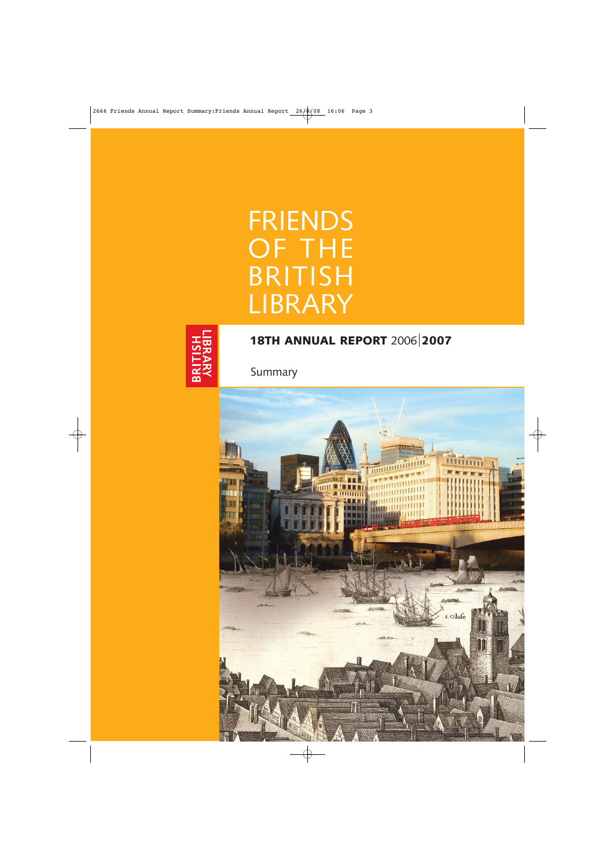# FRIENDS OF THE BRITISH LIBRARY



# **18TH ANNUAL REPORT** 2006 **2007**

Summary

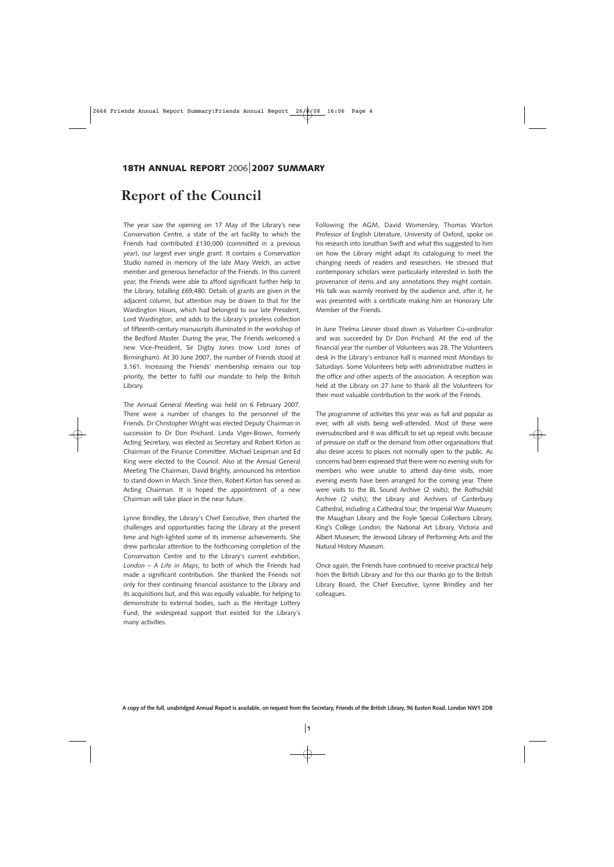### **Report of the Council**

The year saw the opening on 17 May of the Library's new Conservation Centre, a state of the art facility to which the Friends had contributed £130,000 (committed in a previous year), our largest ever single grant. It contains a Conservation Studio named in memory of the late Mary Welch, an active member and generous benefactor of the Friends. In this current year, the Friends were able to afford significant further help to the Library, totalling £69,480. Details of grants are given in the adjacent column, but attention may be drawn to that for the Wardington Hours, which had belonged to our late President, Lord Wardington, and adds to the Library's priceless collection of fifteenth-century manuscripts illuminated in the workshop of the Bedford Master. During the year, The Friends welcomed a new Vice-President, Sir Digby Jones (now Lord Jones of Birmingham). At 30 June 2007, the number of Friends stood at 3,161. Increasing the Friends' membership remains our top priority, the better to fulfil our mandate to help the British Library.

The Annual General Meeting was held on 6 February 2007. There were a number of changes to the personnel of the Friends. Dr Christopher Wright was elected Deputy Chairman in succession to Dr Don Prichard. Linda Viger-Brown, formerly Acting Secretary, was elected as Secretary and Robert Kirton as Chairman of the Finance Committee. Michael Leapman and Ed King were elected to the Council. Also at the Annual General Meeting The Chairman, David Brighty, announced his intention to stand down in March. Since then, Robert Kirton has served as Acting Chairman. It is hoped the appointment of a new Chairman will take place in the near future.

Lynne Brindley, the Library's Chief Executive, then charted the challenges and opportunities facing the Library at the present time and high-lighted some of its immense achievements. She drew particular attention to the forthcoming completion of the Conservation Centre and to the Library's current exhibition, *London – A Life in Maps*, to both of which the Friends had made a significant contribution. She thanked the Friends not only for their continuing financial assistance to the Library and its acquisitions but, and this was equally valuable, for helping to demonstrate to external bodies, such as the Heritage Lottery Fund, the widespread support that existed for the Library's many activities.

Following the AGM, David Womersley, Thomas Warton Professor of English Literature, University of Oxford, spoke on his research into Jonathan Swift and what this suggested to him on how the Library might adapt its cataloguing to meet the changing needs of readers and researchers. He stressed that contemporary scholars were particularly interested in both the provenance of items and any annotations they might contain. His talk was warmly received by the audience and, after it, he was presented with a certificate making him an Honorary Life Member of the Friends.

In June Thelma Liesner stood down as Volunteer Co-ordinator and was succeeded by Dr Don Prichard. At the end of the financial year the number of Volunteers was 28. The Volunteers desk in the Library's entrance hall is manned most Mondays to Saturdays. Some Volunteers help with administrative matters in the office and other aspects of the association. A reception was held at the Library on 27 June to thank all the Volunteers for their most valuable contribution to the work of the Friends.

The programme of activities this year was as full and popular as ever, with all visits being well-attended. Most of these were oversubscribed and it was difficult to set up repeat visits because of pressure on staff or the demand from other organisations that also desire access to places not normally open to the public. As concerns had been expressed that there were no evening visits for members who were unable to attend day-time visits, more evening events have been arranged for the coming year. There were visits to the BL Sound Archive (2 visits); the Rothschild Archive (2 visits); the Library and Archives of Canterbury Cathedral, including a Cathedral tour; the Imperial War Museum; the Maughan Library and the Foyle Special Collections Library, King's College London; the National Art Library, Victoria and Albert Museum; the Jerwood Library of Performing Arts and the Natural History Museum.

Once again, the Friends have continued to receive practical help from the British Library and for this our thanks go to the British Library Board, the Chief Executive, Lynne Brindley and her colleagues.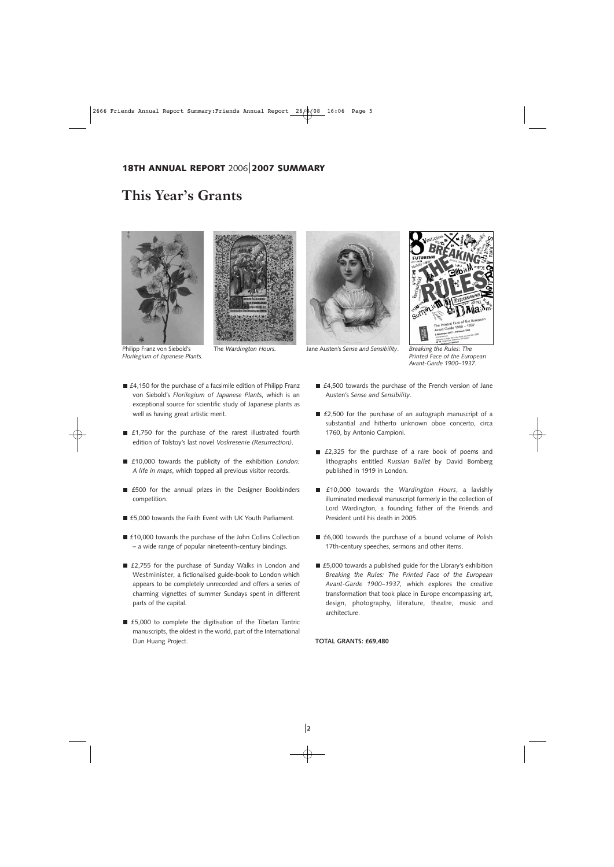#### **18TH ANNUAL REPORT** 2006 **2007 SUMMARY**

### **This Year's Grants**





Philipp Franz von Siebold's *Florilegium of Japanese Plant*s.



The *Wardington Hours.* Jane Austen's *Sense and Sensibility*. *Breaking the Rules: The* 



*Printed Face of the European Avant-Garde 1900–1937.*

- £4,150 for the purchase of a facsimile edition of Philipp Franz von Siebold's *Florilegium of Japanese Plant*s, which is an exceptional source for scientific study of Japanese plants as well as having great artistic merit.
- £1,750 for the purchase of the rarest illustrated fourth edition of Tolstoy's last novel *Voskresenie (Resurrection)*.
- £10,000 towards the publicity of the exhibition *London: A life in maps*, which topped all previous visitor records.
- £500 for the annual prizes in the Designer Bookbinders competition.
- £5,000 towards the Faith Event with UK Youth Parliament.
- £10,000 towards the purchase of the John Collins Collection – a wide range of popular nineteenth-century bindings.
- £2,755 for the purchase of Sunday Walks in London and Westminister, a fictionalised guide-book to London which appears to be completely unrecorded and offers a series of charming vignettes of summer Sundays spent in different parts of the capital.
- £5,000 to complete the digitisation of the Tibetan Tantric manuscripts, the oldest in the world, part of the International Dun Huang Project.
- £4,500 towards the purchase of the French version of Jane Austen's *Sense and Sensibility*.
- £2,500 for the purchase of an autograph manuscript of a substantial and hitherto unknown oboe concerto, circa 1760, by Antonio Campioni.
- £2,325 for the purchase of a rare book of poems and lithographs entitled *Russian Ballet* by David Bomberg published in 1919 in London.
- £10,000 towards the *Wardington Hours*, a lavishly illuminated medieval manuscript formerly in the collection of Lord Wardington, a founding father of the Friends and President until his death in 2005.
- £6,000 towards the purchase of a bound volume of Polish 17th-century speeches, sermons and other items.
- £5,000 towards a published guide for the Library's exhibition *Breaking the Rules: The Printed Face of the European Avant-Garde 1900–1937,* which explores the creative transformation that took place in Europe encompassing art, design, photography, literature, theatre, music and architecture.

**TOTAL GRANTS: £69,480**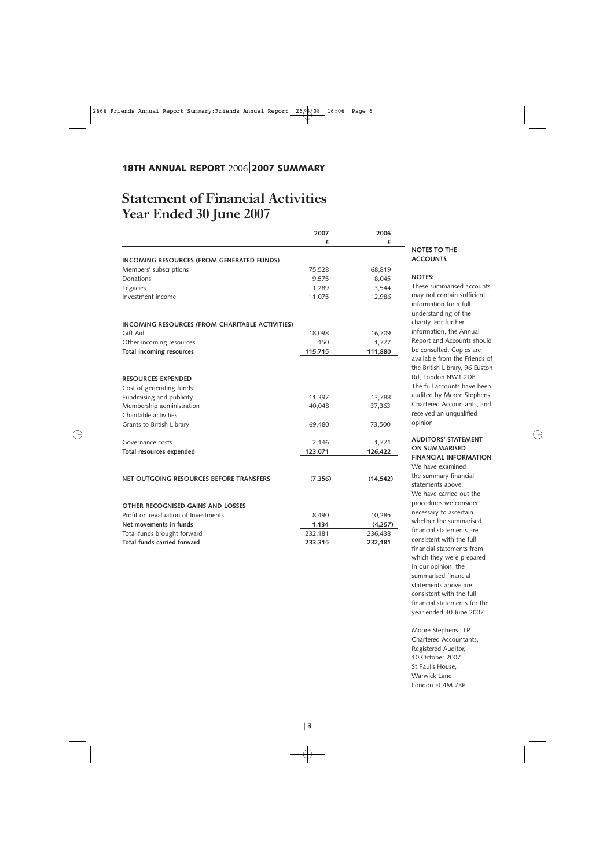### **Statement of Financial Activities Year Ended 30 June 2007**

|                                                  | 2007     | 2006      |
|--------------------------------------------------|----------|-----------|
|                                                  | f        | £         |
| <b>INCOMING RESOURCES (FROM GENERATED FUNDS)</b> |          |           |
| Members' subscriptions                           | 75,528   | 68,819    |
| Donations                                        | 9,575    | 8,045     |
| Legacies                                         | 1,289    | 3,544     |
| Investment income                                | 11,075   | 12,986    |
|                                                  |          |           |
| INCOMING RESOURCES (FROM CHARITABLE ACTIVITIES)  |          |           |
| Gift Aid                                         | 18,098   | 16,709    |
| Other incoming resources                         | 150      | 1,777     |
| <b>Total incoming resources</b>                  | 115,715  | 111,880   |
|                                                  |          |           |
| <b>RESOURCES EXPENDED</b>                        |          |           |
| Cost of generating funds:                        |          |           |
| Fundraising and publicity                        | 11,397   | 13,788    |
| Membership administration                        | 40,048   | 37,363    |
| Charitable activities:                           |          |           |
| Grants to British Library                        | 69,480   | 73,500    |
| Governance costs                                 | 2,146    | 1,771     |
| Total resources expended                         | 123,071  | 126,422   |
| NET OUTGOING RESOURCES BEFORE TRANSFERS          | (7, 356) | (14, 542) |
| OTHER RECOGNISED GAINS AND LOSSES                |          |           |
| Profit on revaluation of Investments             | 8,490    | 10,285    |
| Net movements in funds                           | 1,134    | (4, 257)  |
| Total funds brought forward                      | 232,181  | 236,438   |
| Total funds carried forward                      | 233,315  | 232,181   |

#### NOTES TO THE **ACCOUNTS**

#### **NOTES:**

These summarised accounts may not contain sufficient nformation for a full understanding of the charity. For further nformation, the Annual Report and Accounts should be consulted. Copies are available from the Friends of the British Library, 96 Euston Rd, London NW1 2DB. The full accounts have been audited by Moore Stephens, Chartered Accountants, and received an unqualified opinion

#### **AUDITORS' STATEMENT ON SUMMARISED FINANCIAL INFORMATION**

We have examined the summary financial statements above. We have carried out the procedures we consider necessary to ascertain whether the summarised financial statements are consistent with the full financial statements from which they were prepared In our opinion, the summarised financial statements above are consistent with the full financial statements for the year ended 30 June 2007

Moore Stephens LLP, Chartered Accountants, Registered Auditor, 10 October 2007 St Paul's House, Warwick Lane London EC4M 7BP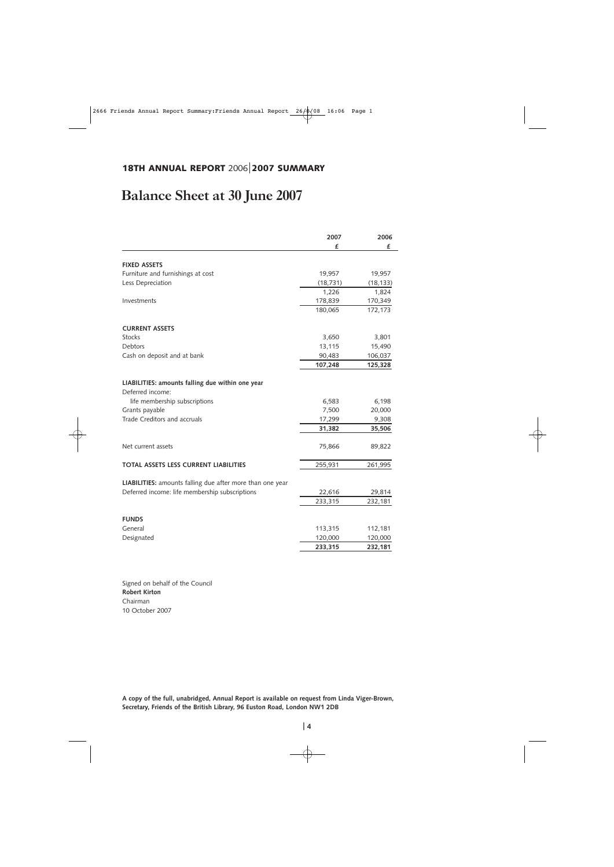### **18TH ANNUAL REPORT** 2006 **2007 SUMMARY**

## **Balance Sheet at 30 June 2007**

|                                                                      | 2007      | 2006      |
|----------------------------------------------------------------------|-----------|-----------|
|                                                                      | £         | £         |
| <b>FIXED ASSETS</b>                                                  |           |           |
| Furniture and furnishings at cost                                    | 19,957    | 19,957    |
|                                                                      |           |           |
| Less Depreciation                                                    | (18, 731) | (18, 133) |
|                                                                      | 1,226     | 1,824     |
| Investments                                                          | 178,839   | 170,349   |
|                                                                      | 180,065   | 172,173   |
| <b>CURRENT ASSETS</b>                                                |           |           |
| <b>Stocks</b>                                                        | 3,650     | 3,801     |
| Debtors                                                              | 13,115    | 15,490    |
| Cash on deposit and at bank                                          | 90,483    | 106,037   |
|                                                                      | 107,248   | 125,328   |
| LIABILITIES: amounts falling due within one year<br>Deferred income: |           |           |
| life membership subscriptions                                        | 6,583     | 6,198     |
| Grants payable                                                       | 7,500     | 20,000    |
| Trade Creditors and accruals                                         | 17,299    | 9,308     |
|                                                                      | 31,382    | 35,506    |
| Net current assets                                                   | 75,866    | 89,822    |
| <b>TOTAL ASSETS LESS CURRENT LIABILITIES</b>                         | 255,931   | 261,995   |
| <b>LIABILITIES:</b> amounts falling due after more than one year     |           |           |
| Deferred income: life membership subscriptions                       | 22,616    | 29,814    |
|                                                                      | 233,315   | 232,181   |
| <b>FUNDS</b>                                                         |           |           |
| General                                                              | 113,315   | 112,181   |
| Designated                                                           | 120,000   | 120,000   |
|                                                                      | 233,315   | 232,181   |
|                                                                      |           |           |

Signed on behalf of the Council **Robert Kirton** Chairman 10 October 2007

**A copy of the full, unabridged, Annual Report is available on request from Linda Viger-Brown, Secretary, Friends of the British Library, 96 Euston Road, London NW1 2DB**